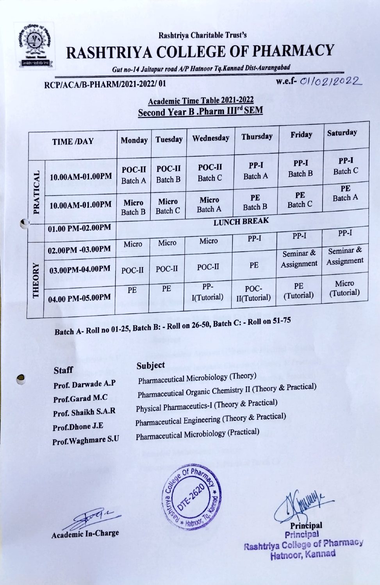

Rashtriya Charitable Trust's

# RASHTRIYA COLLEGE OF PHARMACY

Gut no-14 Jaitapur road AIP Hatnoor Tq.Kannad Dist-Aurangabad

## RCP/ACA/B-PHARM/2021-2022/01 w.e.f- 01/02/2022

### Academic Time Table 2021-2022 Second Year B .Pharm III<sup>rd</sup> SEM

|           |                   | <b>TIME /DAY</b> | <b>Monday</b>                   | Tuesday                  | Wednesday                      | <b>Thursday</b>          | Friday                   | <b>Saturday</b>      |
|-----------|-------------------|------------------|---------------------------------|--------------------------|--------------------------------|--------------------------|--------------------------|----------------------|
| $\bullet$ | PRATICAL          | 10.00AM-01.00PM  | <b>POC-II</b><br><b>Batch A</b> | POC-II<br><b>Batch B</b> | POC-II<br><b>Batch C</b>       | $PP-I$<br><b>Batch A</b> | $PP-I$<br><b>Batch B</b> | PP-I<br>Batch C      |
|           |                   | 10.00AM-01.00PM  | <b>Micro</b><br><b>Batch B</b>  | <b>Micro</b><br>Batch C  | <b>Micro</b><br><b>Batch A</b> | PE<br>PE<br>Batch B      | <b>Batch C</b>           | PE<br><b>Batch A</b> |
|           |                   | 01.00 PM-02.00PM | <b>LUNCH BREAK</b>              |                          |                                |                          |                          |                      |
|           |                   |                  | Micro                           | Micro                    | Micro                          | PP-I                     | PP-I                     | PP-I                 |
|           | <b>ORY</b><br>THE | 02.00PM -03.00PM |                                 |                          |                                |                          | Seminar &                | Seminar &            |
|           |                   | 03.00PM-04.00PM  | POC-II                          | POC-II                   | POC-II                         | PE                       | Assignment               | Assignment           |
|           |                   | 04.00 PM-05.00PM | PE                              | PE                       | PP-<br>I(Tutorial)             | POC-<br>II(Tutorial)     | PE<br>(Tutorial)         | Micro<br>(Tutorial)  |
|           |                   |                  |                                 |                          |                                |                          |                          |                      |

Batch A- Roll no 01-25, Batch B: - Roll on 26-50, Batch C: - Roll on 51-75

Staff Subject Prof. Darwade A.P Prof.Garad M.C Prof. Shaikh S.A.R Prof.Dhone J.E Prof.Waghmare S.U

| Pharmaceutical Microbiology (Theory)                     |
|----------------------------------------------------------|
| Pharmaceutical Organic Chemistry II (Theory & Practical) |
| Physical Pharmaceutics-I (Theory & Practical)            |
| Pharmaceutical Engineering (Theory & Practical)          |
| Pharmaceutical Microbiology (Practical)                  |
|                                                          |

Academic In-Charge



Principal Principal Rashtriya College of Pharmacy Hatnoor, Kannad